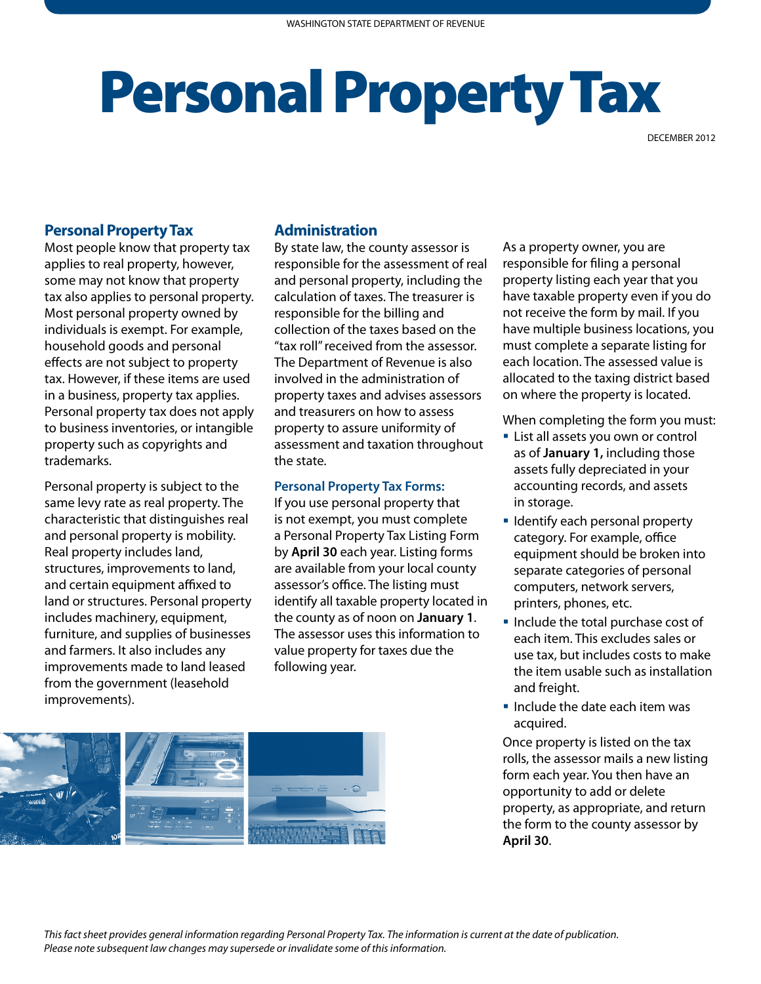## Personal Property Tax

DECEMBER 2012

## **Personal Property Tax**

Most people know that property tax applies to real property, however, some may not know that property tax also applies to personal property. Most personal property owned by individuals is exempt. For example, household goods and personal effects are not subject to property tax. However, if these items are used in a business, property tax applies. Personal property tax does not apply to business inventories, or intangible property such as copyrights and trademarks.

Personal property is subject to the same levy rate as real property. The characteristic that distinguishes real and personal property is mobility. Real property includes land, structures, improvements to land, and certain equipment affixed to land or structures. Personal property includes machinery, equipment, furniture, and supplies of businesses and farmers. It also includes any improvements made to land leased from the government (leasehold improvements).

## **Administration**

By state law, the county assessor is responsible for the assessment of real and personal property, including the calculation of taxes. The treasurer is responsible for the billing and collection of the taxes based on the "tax roll" received from the assessor. The Department of Revenue is also involved in the administration of property taxes and advises assessors and treasurers on how to assess property to assure uniformity of assessment and taxation throughout the state.

## **Personal Property Tax Forms:**

If you use personal property that is not exempt, you must complete a Personal Property Tax Listing Form by **April 30** each year. Listing forms are available from your local county assessor's office. The listing must identify all taxable property located in the county as of noon on **January 1**. The assessor uses this information to value property for taxes due the following year.

As a property owner, you are responsible for filing a personal property listing each year that you have taxable property even if you do not receive the form by mail. If you have multiple business locations, you must complete a separate listing for each location. The assessed value is allocated to the taxing district based on where the property is located.

When completing the form you must:

- **EXTENUE List all assets you own or control** as of **January 1,** including those assets fully depreciated in your accounting records, and assets in storage.
- **I** Identify each personal property category. For example, office equipment should be broken into separate categories of personal computers, network servers, printers, phones, etc.
- Include the total purchase cost of each item. This excludes sales or use tax, but includes costs to make the item usable such as installation and freight.
- $\blacksquare$  Include the date each item was acquired.

Once property is listed on the tax rolls, the assessor mails a new listing form each year. You then have an opportunity to add or delete property, as appropriate, and return the form to the county assessor by **April 30**.